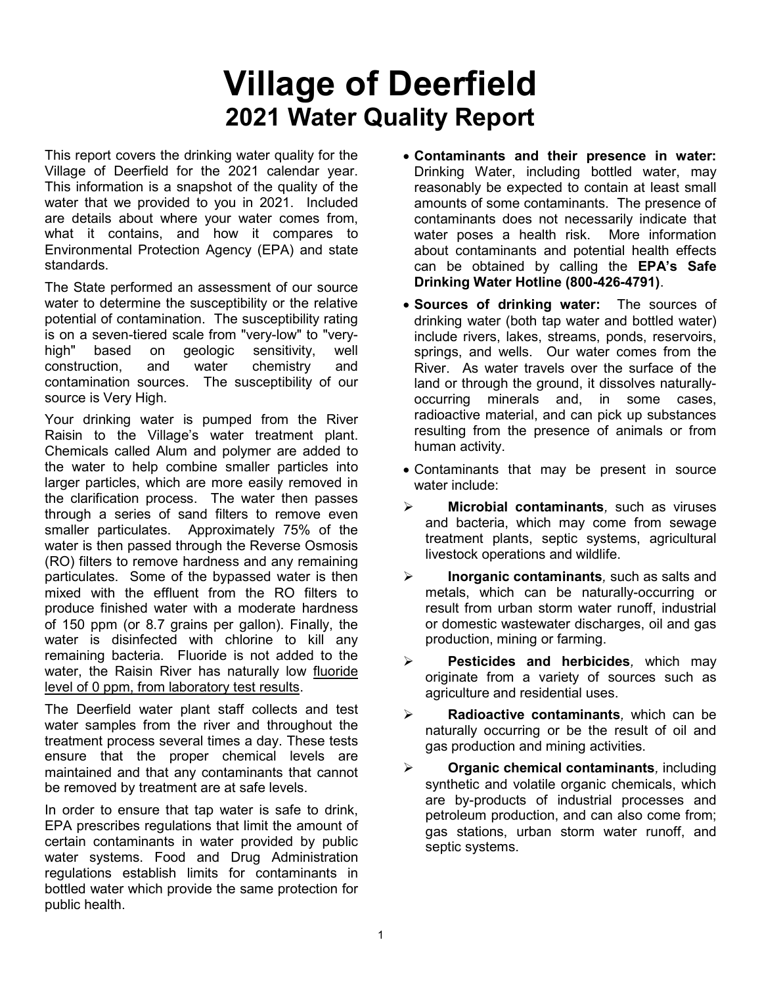# Village of Deerfield 2021 Water Quality Report

This report covers the drinking water quality for the Village of Deerfield for the 2021 calendar year. This information is a snapshot of the quality of the water that we provided to you in 2021. Included are details about where your water comes from, what it contains, and how it compares to Environmental Protection Agency (EPA) and state standards.

The State performed an assessment of our source water to determine the susceptibility or the relative potential of contamination. The susceptibility rating is on a seven-tiered scale from "very-low" to "veryhigh" based on geologic sensitivity, well construction, and water chemistry and contamination sources. The susceptibility of our source is Very High.

Your drinking water is pumped from the River Raisin to the Village's water treatment plant. Chemicals called Alum and polymer are added to the water to help combine smaller particles into larger particles, which are more easily removed in the clarification process. The water then passes through a series of sand filters to remove even smaller particulates. Approximately 75% of the water is then passed through the Reverse Osmosis (RO) filters to remove hardness and any remaining particulates. Some of the bypassed water is then mixed with the effluent from the RO filters to produce finished water with a moderate hardness of 150 ppm (or 8.7 grains per gallon). Finally, the water is disinfected with chlorine to kill any remaining bacteria. Fluoride is not added to the water, the Raisin River has naturally low fluoride level of 0 ppm, from laboratory test results.

The Deerfield water plant staff collects and test water samples from the river and throughout the treatment process several times a day. These tests ensure that the proper chemical levels are maintained and that any contaminants that cannot be removed by treatment are at safe levels.

In order to ensure that tap water is safe to drink, EPA prescribes regulations that limit the amount of certain contaminants in water provided by public water systems. Food and Drug Administration regulations establish limits for contaminants in bottled water which provide the same protection for public health.

- Contaminants and their presence in water: Drinking Water, including bottled water, may reasonably be expected to contain at least small amounts of some contaminants. The presence of contaminants does not necessarily indicate that water poses a health risk. More information about contaminants and potential health effects can be obtained by calling the EPA's Safe Drinking Water Hotline (800-426-4791).
- Sources of drinking water: The sources of drinking water (both tap water and bottled water) include rivers, lakes, streams, ponds, reservoirs, springs, and wells. Our water comes from the River. As water travels over the surface of the land or through the ground, it dissolves naturallyoccurring minerals and, in some cases, radioactive material, and can pick up substances resulting from the presence of animals or from human activity.
- Contaminants that may be present in source water include:
- $\triangleright$  Microbial contaminants, such as viruses and bacteria, which may come from sewage treatment plants, septic systems, agricultural livestock operations and wildlife.
- $\triangleright$  Inorganic contaminants, such as salts and metals, which can be naturally-occurring or result from urban storm water runoff, industrial or domestic wastewater discharges, oil and gas production, mining or farming.
- $\triangleright$  Pesticides and herbicides, which may originate from a variety of sources such as agriculture and residential uses.
- $\triangleright$  Radioactive contaminants, which can be naturally occurring or be the result of oil and gas production and mining activities.
- $\triangleright$  Organic chemical contaminants, including synthetic and volatile organic chemicals, which are by-products of industrial processes and petroleum production, and can also come from; gas stations, urban storm water runoff, and septic systems.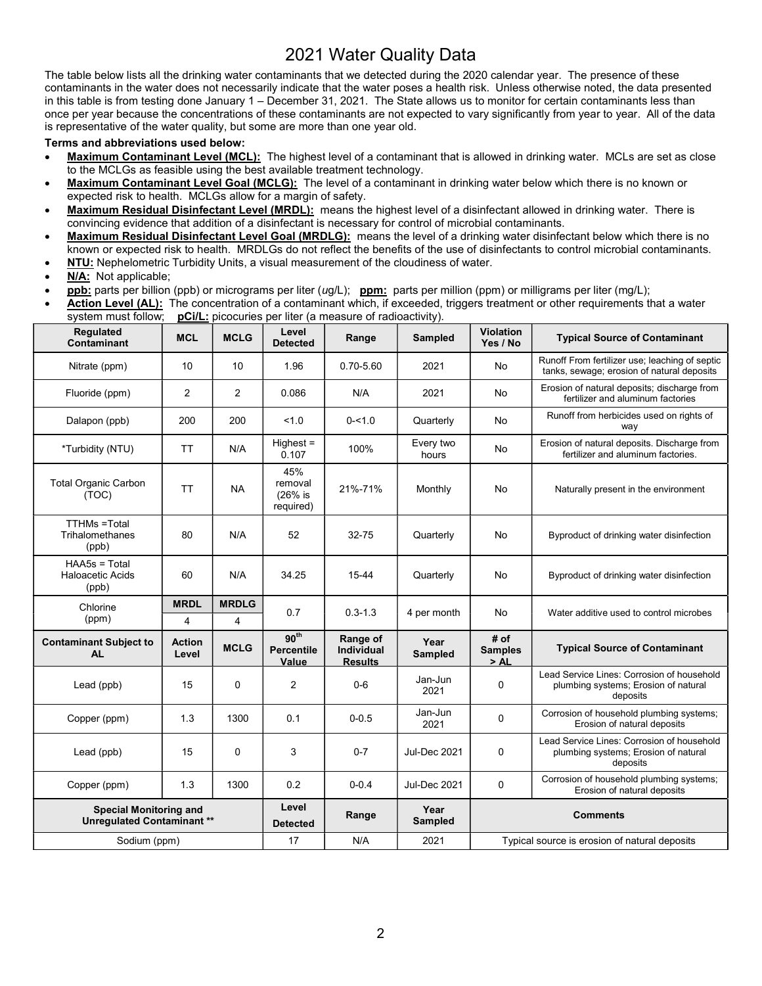# 2021 Water Quality Data

The table below lists all the drinking water contaminants that we detected during the 2020 calendar year. The presence of these contaminants in the water does not necessarily indicate that the water poses a health risk. Unless otherwise noted, the data presented in this table is from testing done January 1 – December 31, 2021. The State allows us to monitor for certain contaminants less than once per year because the concentrations of these contaminants are not expected to vary significantly from year to year. All of the data is representative of the water quality, but some are more than one year old.

#### Terms and abbreviations used below:

- Maximum Contaminant Level (MCL): The highest level of a contaminant that is allowed in drinking water. MCLs are set as close to the MCLGs as feasible using the best available treatment technology.
- Maximum Contaminant Level Goal (MCLG): The level of a contaminant in drinking water below which there is no known or expected risk to health. MCLGs allow for a margin of safety.
- Maximum Residual Disinfectant Level (MRDL): means the highest level of a disinfectant allowed in drinking water. There is convincing evidence that addition of a disinfectant is necessary for control of microbial contaminants.
- Maximum Residual Disinfectant Level Goal (MRDLG): means the level of a drinking water disinfectant below which there is no known or expected risk to health. MRDLGs do not reflect the benefits of the use of disinfectants to control microbial contaminants.
- NTU: Nephelometric Turbidity Units, a visual measurement of the cloudiness of water.
- N/A: Not applicable;
- **ppb:** parts per billion (ppb) or micrograms per liter  $(ug/L)$ ; **ppm:** parts per million (ppm) or milligrams per liter (mg/L);
- Action Level (AL): The concentration of a contaminant which, if exceeded, triggers treatment or other requirements that a water system must follow; pCi/L: picocuries per liter (a measure of radioactivity).

| <b>Regulated</b><br>Contaminant                                   | <b>MCL</b>             | <b>MCLG</b>    | Level<br><b>Detected</b>                       | Range                                           | <b>Sampled</b>           | <b>Violation</b><br>Yes / No                  | <b>Typical Source of Contaminant</b>                                                           |  |
|-------------------------------------------------------------------|------------------------|----------------|------------------------------------------------|-------------------------------------------------|--------------------------|-----------------------------------------------|------------------------------------------------------------------------------------------------|--|
| Nitrate (ppm)                                                     | 10                     | 10             | 1.96                                           | 0.70-5.60                                       | 2021<br>No               |                                               | Runoff From fertilizer use; leaching of septic<br>tanks, sewage; erosion of natural deposits   |  |
| Fluoride (ppm)                                                    | 2                      | $\overline{2}$ | 0.086                                          | N/A                                             | 2021<br>No               |                                               | Erosion of natural deposits; discharge from<br>fertilizer and aluminum factories               |  |
| Dalapon (ppb)                                                     | 200                    | 200            | 1.0                                            | $0 - 1.0$                                       | No<br>Quarterly          |                                               | Runoff from herbicides used on rights of<br>way                                                |  |
| *Turbidity (NTU)                                                  | TT                     | N/A            | $Higher =$<br>0.107                            | 100%                                            | Every two<br>No<br>hours |                                               | Erosion of natural deposits. Discharge from<br>fertilizer and aluminum factories.              |  |
| <b>Total Organic Carbon</b><br>(TOC)                              | TT                     | <b>NA</b>      | 45%<br>removal<br>(26% is<br>required)         | 21%-71%                                         | Monthly                  | No                                            | Naturally present in the environment                                                           |  |
| <b>TTHMs</b> = Total<br>Trihalomethanes<br>(ppb)                  | 80                     | N/A            | 52                                             | $32 - 75$                                       | No<br>Quarterly          |                                               | Byproduct of drinking water disinfection                                                       |  |
| HAA5s = Total<br><b>Haloacetic Acids</b><br>(ppb)                 | 60                     | N/A            | 34.25                                          | 15-44                                           | Quarterly                | No                                            | Byproduct of drinking water disinfection                                                       |  |
| Chlorine<br>(ppm)                                                 | <b>MRDL</b>            | <b>MRDLG</b>   | 0.7                                            | $0.3 - 1.3$                                     | 4 per month              | No                                            | Water additive used to control microbes                                                        |  |
|                                                                   | 4                      | 4              |                                                |                                                 |                          |                                               |                                                                                                |  |
| <b>Contaminant Subject to</b><br><b>AL</b>                        | <b>Action</b><br>Level | <b>MCLG</b>    | 90 <sup>th</sup><br><b>Percentile</b><br>Value | Range of<br><b>Individual</b><br><b>Results</b> | Year<br>Sampled          | # of<br><b>Samples</b><br>>AL                 | <b>Typical Source of Contaminant</b>                                                           |  |
| Lead (ppb)                                                        | 15                     | 0              | $\overline{c}$                                 | $0 - 6$                                         | Jan-Jun<br>2021          | $\mathbf 0$                                   | Lead Service Lines: Corrosion of household<br>plumbing systems; Erosion of natural<br>deposits |  |
| Copper (ppm)                                                      | 1.3                    | 1300           | 0.1                                            | $0 - 0.5$                                       | Jan-Jun<br>2021          | 0                                             | Corrosion of household plumbing systems;<br>Erosion of natural deposits                        |  |
| Lead (ppb)                                                        | 15                     | 0              | 3                                              | $0 - 7$                                         | <b>Jul-Dec 2021</b>      | 0                                             | Lead Service Lines: Corrosion of household<br>plumbing systems; Erosion of natural<br>deposits |  |
| Copper (ppm)                                                      | 1.3                    | 1300           | 0.2                                            | $0 - 0.4$                                       | <b>Jul-Dec 2021</b>      | $\Omega$                                      | Corrosion of household plumbing systems;<br>Erosion of natural deposits                        |  |
| <b>Special Monitoring and</b><br><b>Unregulated Contaminant**</b> |                        |                | Level<br><b>Detected</b>                       | Range                                           | Year<br>Sampled          | <b>Comments</b>                               |                                                                                                |  |
| Sodium (ppm)                                                      |                        |                | 17                                             | N/A                                             | 2021                     | Typical source is erosion of natural deposits |                                                                                                |  |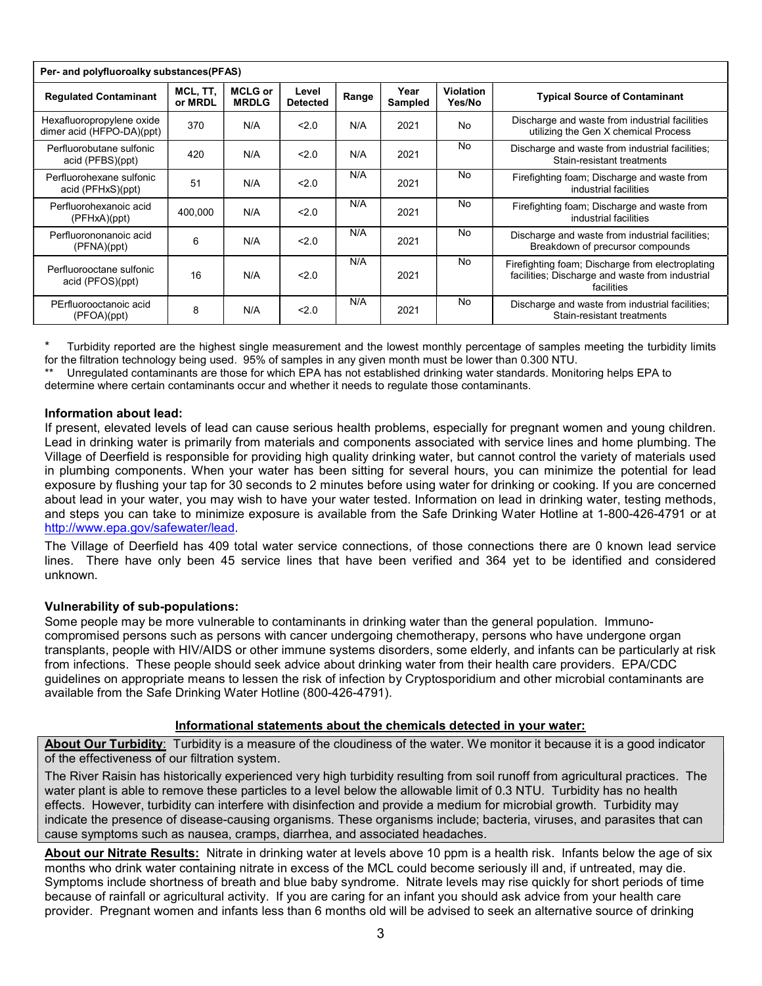| Per- and polyfluoroalky substances(PFAS)               |                     |                                |                          |       |                 |                            |                                                                                                                   |  |  |  |  |
|--------------------------------------------------------|---------------------|--------------------------------|--------------------------|-------|-----------------|----------------------------|-------------------------------------------------------------------------------------------------------------------|--|--|--|--|
| <b>Regulated Contaminant</b>                           | MCL, TT,<br>or MRDL | <b>MCLG or</b><br><b>MRDLG</b> | Level<br><b>Detected</b> | Range | Year<br>Sampled | <b>Violation</b><br>Yes/No | <b>Typical Source of Contaminant</b>                                                                              |  |  |  |  |
| Hexafluoropropylene oxide<br>dimer acid (HFPO-DA)(ppt) | 370                 | N/A                            | 2.0                      | N/A   | 2021            | No                         | Discharge and waste from industrial facilities<br>utilizing the Gen X chemical Process                            |  |  |  |  |
| Perfluorobutane sulfonic<br>acid (PFBS)(ppt)           | 420                 | N/A                            | 2.0                      | N/A   | 2021            | No                         | Discharge and waste from industrial facilities;<br>Stain-resistant treatments                                     |  |  |  |  |
| Perfluorohexane sulfonic<br>acid (PFHxS)(ppt)          | 51                  | N/A                            | < 2.0                    | N/A   | 2021            | No                         | Firefighting foam; Discharge and waste from<br>industrial facilities                                              |  |  |  |  |
| Perfluorohexanoic acid<br>(PFHxA)(ppt)                 | 400,000             | N/A                            | 2.0                      | N/A   | 2021            | <b>No</b>                  | Firefighting foam; Discharge and waste from<br>industrial facilities                                              |  |  |  |  |
| Perfluorononanoic acid<br>(PFNA)(ppt)                  | 6                   | N/A                            | 2.0                      | N/A   | 2021            | <b>No</b>                  | Discharge and waste from industrial facilities;<br>Breakdown of precursor compounds                               |  |  |  |  |
| Perfluorooctane sulfonic<br>acid (PFOS)(ppt)           | 16                  | N/A                            | 2.0                      | N/A   | 2021            | No                         | Firefighting foam; Discharge from electroplating<br>facilities; Discharge and waste from industrial<br>facilities |  |  |  |  |
| PErfluorooctanoic acid<br>(PFOA)(ppt)                  | 8                   | N/A                            | 2.0                      | N/A   | 2021            | No                         | Discharge and waste from industrial facilities;<br>Stain-resistant treatments                                     |  |  |  |  |

Turbidity reported are the highest single measurement and the lowest monthly percentage of samples meeting the turbidity limits for the filtration technology being used. 95% of samples in any given month must be lower than 0.300 NTU.

Unregulated contaminants are those for which EPA has not established drinking water standards. Monitoring helps EPA to determine where certain contaminants occur and whether it needs to regulate those contaminants.

#### Information about lead:

If present, elevated levels of lead can cause serious health problems, especially for pregnant women and young children. Lead in drinking water is primarily from materials and components associated with service lines and home plumbing. The Village of Deerfield is responsible for providing high quality drinking water, but cannot control the variety of materials used in plumbing components. When your water has been sitting for several hours, you can minimize the potential for lead exposure by flushing your tap for 30 seconds to 2 minutes before using water for drinking or cooking. If you are concerned about lead in your water, you may wish to have your water tested. Information on lead in drinking water, testing methods, and steps you can take to minimize exposure is available from the Safe Drinking Water Hotline at 1-800-426-4791 or at http://www.epa.gov/safewater/lead.

The Village of Deerfield has 409 total water service connections, of those connections there are 0 known lead service lines. There have only been 45 service lines that have been verified and 364 yet to be identified and considered unknown.

## Vulnerability of sub-populations:

Some people may be more vulnerable to contaminants in drinking water than the general population. Immunocompromised persons such as persons with cancer undergoing chemotherapy, persons who have undergone organ transplants, people with HIV/AIDS or other immune systems disorders, some elderly, and infants can be particularly at risk from infections. These people should seek advice about drinking water from their health care providers. EPA/CDC guidelines on appropriate means to lessen the risk of infection by Cryptosporidium and other microbial contaminants are available from the Safe Drinking Water Hotline (800-426-4791).

## Informational statements about the chemicals detected in your water:

About Our Turbidity: Turbidity is a measure of the cloudiness of the water. We monitor it because it is a good indicator of the effectiveness of our filtration system.

The River Raisin has historically experienced very high turbidity resulting from soil runoff from agricultural practices. The water plant is able to remove these particles to a level below the allowable limit of 0.3 NTU. Turbidity has no health effects. However, turbidity can interfere with disinfection and provide a medium for microbial growth. Turbidity may indicate the presence of disease-causing organisms. These organisms include; bacteria, viruses, and parasites that can cause symptoms such as nausea, cramps, diarrhea, and associated headaches.

About our Nitrate Results: Nitrate in drinking water at levels above 10 ppm is a health risk. Infants below the age of six months who drink water containing nitrate in excess of the MCL could become seriously ill and, if untreated, may die. Symptoms include shortness of breath and blue baby syndrome. Nitrate levels may rise quickly for short periods of time because of rainfall or agricultural activity. If you are caring for an infant you should ask advice from your health care provider. Pregnant women and infants less than 6 months old will be advised to seek an alternative source of drinking